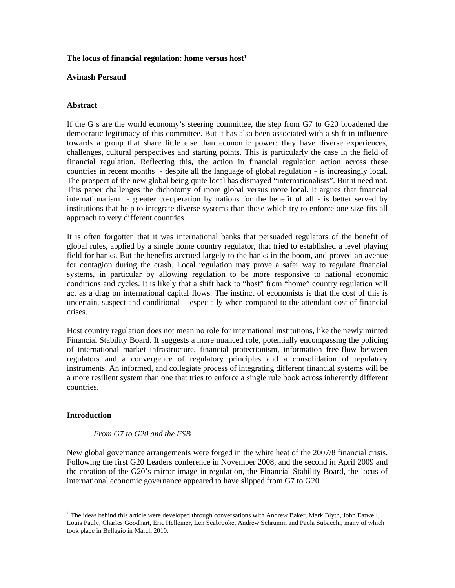#### The locus of financial regulation: home versus host<sup>1</sup>

#### **Avinash Persaud**

## **Abstract**

If the G's are the world economy's steering committee, the step from G7 to G20 broadened the democratic legitimacy of this committee. But it has also been associated with a shift in influence towards a group that share little else than economic power: they have diverse experiences, challenges, cultural perspectives and starting points. This is particularly the case in the field of financial regulation. Reflecting this, the action in financial regulation action across these countries in recent months - despite all the language of global regulation - is increasingly local. The prospect of the new global being quite local has dismayed "internationalists". But it need not. This paper challenges the dichotomy of more global versus more local. It argues that financial internationalism - greater co-operation by nations for the benefit of all - is better served by institutions that help to integrate diverse systems than those which try to enforce one-size-fits-all approach to very different countries.

It is often forgotten that it was international banks that persuaded regulators of the benefit of global rules, applied by a single home country regulator, that tried to established a level playing field for banks. But the benefits accrued largely to the banks in the boom, and proved an avenue for contagion during the crash. Local regulation may prove a safer way to regulate financial systems, in particular by allowing regulation to be more responsive to national economic conditions and cycles. It is likely that a shift back to "host" from "home" country regulation will act as a drag on international capital flows. The instinct of economists is that the cost of this is uncertain, suspect and conditional - especially when compared to the attendant cost of financial crises.

Host country regulation does not mean no role for international institutions, like the newly minted Financial Stability Board. It suggests a more nuanced role, potentially encompassing the policing of international market infrastructure, financial protectionism, information free-flow between regulators and a convergence of regulatory principles and a consolidation of regulatory instruments. An informed, and collegiate process of integrating different financial systems will be a more resilient system than one that tries to enforce a single rule book across inherently different countries.

# **Introduction**

-

## *From G7 to G20 and the FSB*

New global governance arrangements were forged in the white heat of the 2007/8 financial crisis. Following the first G20 Leaders conference in November 2008, and the second in April 2009 and the creation of the G20's mirror image in regulation, the Financial Stability Board, the locus of international economic governance appeared to have slipped from G7 to G20.

<sup>&</sup>lt;sup>1</sup> The ideas behind this article were developed through conversations with Andrew Baker, Mark Blyth, John Eatwell, Louis Pauly, Charles Goodhart, Eric Helleiner, Len Seabrooke, Andrew Schrumm and Paola Subacchi, many of which took place in Bellagio in March 2010.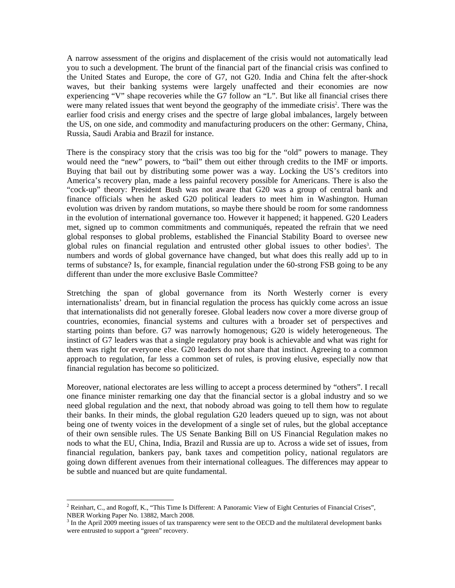A narrow assessment of the origins and displacement of the crisis would not automatically lead you to such a development. The brunt of the financial part of the financial crisis was confined to the United States and Europe, the core of G7, not G20. India and China felt the after-shock waves, but their banking systems were largely unaffected and their economies are now experiencing "V" shape recoveries while the G7 follow an "L". But like all financial crises there were many related issues that went beyond the geography of the immediate crisis<sup>2</sup>. There was the earlier food crisis and energy crises and the spectre of large global imbalances, largely between the US, on one side, and commodity and manufacturing producers on the other: Germany, China, Russia, Saudi Arabia and Brazil for instance.

There is the conspiracy story that the crisis was too big for the "old" powers to manage. They would need the "new" powers, to "bail" them out either through credits to the IMF or imports. Buying that bail out by distributing some power was a way. Locking the US's creditors into America's recovery plan, made a less painful recovery possible for Americans. There is also the "cock-up" theory: President Bush was not aware that G20 was a group of central bank and finance officials when he asked G20 political leaders to meet him in Washington. Human evolution was driven by random mutations, so maybe there should be room for some randomness in the evolution of international governance too. However it happened; it happened. G20 Leaders met, signed up to common commitments and communiqués, repeated the refrain that we need global responses to global problems, established the Financial Stability Board to oversee new global rules on financial regulation and entrusted other global issues to other bodies<sup>3</sup>. The numbers and words of global governance have changed, but what does this really add up to in terms of substance? Is, for example, financial regulation under the 60-strong FSB going to be any different than under the more exclusive Basle Committee?

Stretching the span of global governance from its North Westerly corner is every internationalists' dream, but in financial regulation the process has quickly come across an issue that internationalists did not generally foresee. Global leaders now cover a more diverse group of countries, economies, financial systems and cultures with a broader set of perspectives and starting points than before. G7 was narrowly homogenous; G20 is widely heterogeneous. The instinct of G7 leaders was that a single regulatory pray book is achievable and what was right for them was right for everyone else. G20 leaders do not share that instinct. Agreeing to a common approach to regulation, far less a common set of rules, is proving elusive, especially now that financial regulation has become so politicized.

Moreover, national electorates are less willing to accept a process determined by "others". I recall one finance minister remarking one day that the financial sector is a global industry and so we need global regulation and the next, that nobody abroad was going to tell them how to regulate their banks. In their minds, the global regulation G20 leaders queued up to sign, was not about being one of twenty voices in the development of a single set of rules, but the global acceptance of their own sensible rules. The US Senate Banking Bill on US Financial Regulation makes no nods to what the EU, China, India, Brazil and Russia are up to. Across a wide set of issues, from financial regulation, bankers pay, bank taxes and competition policy, national regulators are going down different avenues from their international colleagues. The differences may appear to be subtle and nuanced but are quite fundamental.

<sup>&</sup>lt;sup>2</sup> Reinhart, C., and Rogoff, K., "This Time Is Different: A Panoramic View of Eight Centuries of Financial Crises", NBER Working Paper No. 13882, March 2008.

 $3 \text{ In the April 2009 meeting issues of tax transparency were sent to the OECD and the multilateral development banks.}$ were entrusted to support a "green" recovery.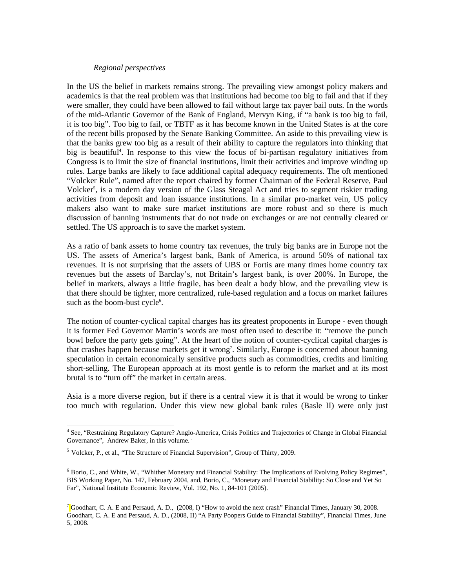#### *Regional perspectives*

In the US the belief in markets remains strong. The prevailing view amongst policy makers and academics is that the real problem was that institutions had become too big to fail and that if they were smaller, they could have been allowed to fail without large tax payer bail outs. In the words of the mid-Atlantic Governor of the Bank of England, Mervyn King, if "a bank is too big to fail, it is too big". Too big to fail, or TBTF as it has become known in the United States is at the core of the recent bills proposed by the Senate Banking Committee. An aside to this prevailing view is that the banks grew too big as a result of their ability to capture the regulators into thinking that big is beautiful<sup>4</sup>. In response to this view the focus of bi-partisan regulatory initiatives from Congress is to limit the size of financial institutions, limit their activities and improve winding up rules. Large banks are likely to face additional capital adequacy requirements. The oft mentioned "Volcker Rule", named after the report chaired by former Chairman of the Federal Reserve, Paul Volcker<sup>5</sup>, is a modern day version of the Glass Steagal Act and tries to segment riskier trading activities from deposit and loan issuance institutions. In a similar pro-market vein, US policy makers also want to make sure market institutions are more robust and so there is much discussion of banning instruments that do not trade on exchanges or are not centrally cleared or settled. The US approach is to save the market system.

As a ratio of bank assets to home country tax revenues, the truly big banks are in Europe not the US. The assets of America's largest bank, Bank of America, is around 50% of national tax revenues. It is not surprising that the assets of UBS or Fortis are many times home country tax revenues but the assets of Barclay's, not Britain's largest bank, is over 200%. In Europe, the belief in markets, always a little fragile, has been dealt a body blow, and the prevailing view is that there should be tighter, more centralized, rule-based regulation and a focus on market failures such as the boom-bust cycle<sup>6</sup>.

The notion of counter-cyclical capital charges has its greatest proponents in Europe - even though it is former Fed Governor Martin's words are most often used to describe it: "remove the punch bowl before the party gets going". At the heart of the notion of counter-cyclical capital charges is that crashes happen because markets get it wrong<sup>7</sup>. Similarly, Europe is concerned about banning speculation in certain economically sensitive products such as commodities, credits and limiting short-selling. The European approach at its most gentle is to reform the market and at its most brutal is to "turn off" the market in certain areas.

Asia is a more diverse region, but if there is a central view it is that it would be wrong to tinker too much with regulation. Under this view new global bank rules (Basle II) were only just

-

<sup>&</sup>lt;sup>4</sup> See, "Restraining Regulatory Capture? Anglo-America, Crisis Politics and Trajectories of Change in Global Financial Governance", Andrew Baker, in this volume.

 $<sup>5</sup>$  Volcker, P., et al., "The Structure of Financial Supervision", Group of Thirty, 2009.</sup>

<sup>6</sup> Borio, C., and White, W., "Whither Monetary and Financial Stability: The Implications of Evolving Policy Regimes", BIS Working Paper, No. 147, February 2004, and, Borio, C., "Monetary and Financial Stability: So Close and Yet So Far", National Institute Economic Review, Vol. 192, No. 1, 84-101 (2005).

<sup>&</sup>lt;sup>7</sup> Goodhart, C. A. E and Persaud, A. D., (2008, I) "How to avoid the next crash" Financial Times, January 30, 2008. Goodhart, C. A. E and Persaud, A. D., (2008, II) "A Party Poopers Guide to Financial Stability", Financial Times, June 5, 2008.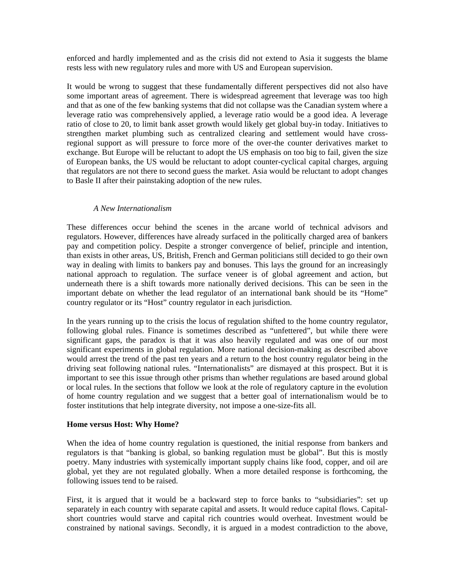enforced and hardly implemented and as the crisis did not extend to Asia it suggests the blame rests less with new regulatory rules and more with US and European supervision.

It would be wrong to suggest that these fundamentally different perspectives did not also have some important areas of agreement. There is widespread agreement that leverage was too high and that as one of the few banking systems that did not collapse was the Canadian system where a leverage ratio was comprehensively applied, a leverage ratio would be a good idea. A leverage ratio of close to 20, to limit bank asset growth would likely get global buy-in today. Initiatives to strengthen market plumbing such as centralized clearing and settlement would have crossregional support as will pressure to force more of the over-the counter derivatives market to exchange. But Europe will be reluctant to adopt the US emphasis on too big to fail, given the size of European banks, the US would be reluctant to adopt counter-cyclical capital charges, arguing that regulators are not there to second guess the market. Asia would be reluctant to adopt changes to Basle II after their painstaking adoption of the new rules.

## *A New Internationalism*

These differences occur behind the scenes in the arcane world of technical advisors and regulators. However, differences have already surfaced in the politically charged area of bankers pay and competition policy. Despite a stronger convergence of belief, principle and intention, than exists in other areas, US, British, French and German politicians still decided to go their own way in dealing with limits to bankers pay and bonuses. This lays the ground for an increasingly national approach to regulation. The surface veneer is of global agreement and action, but underneath there is a shift towards more nationally derived decisions. This can be seen in the important debate on whether the lead regulator of an international bank should be its "Home" country regulator or its "Host" country regulator in each jurisdiction.

In the years running up to the crisis the locus of regulation shifted to the home country regulator, following global rules. Finance is sometimes described as "unfettered", but while there were significant gaps, the paradox is that it was also heavily regulated and was one of our most significant experiments in global regulation. More national decision-making as described above would arrest the trend of the past ten years and a return to the host country regulator being in the driving seat following national rules. "Internationalists" are dismayed at this prospect. But it is important to see this issue through other prisms than whether regulations are based around global or local rules. In the sections that follow we look at the role of regulatory capture in the evolution of home country regulation and we suggest that a better goal of internationalism would be to foster institutions that help integrate diversity, not impose a one-size-fits all.

## **Home versus Host: Why Home?**

When the idea of home country regulation is questioned, the initial response from bankers and regulators is that "banking is global, so banking regulation must be global". But this is mostly poetry. Many industries with systemically important supply chains like food, copper, and oil are global, yet they are not regulated globally. When a more detailed response is forthcoming, the following issues tend to be raised.

First, it is argued that it would be a backward step to force banks to "subsidiaries": set up separately in each country with separate capital and assets. It would reduce capital flows. Capitalshort countries would starve and capital rich countries would overheat. Investment would be constrained by national savings. Secondly, it is argued in a modest contradiction to the above,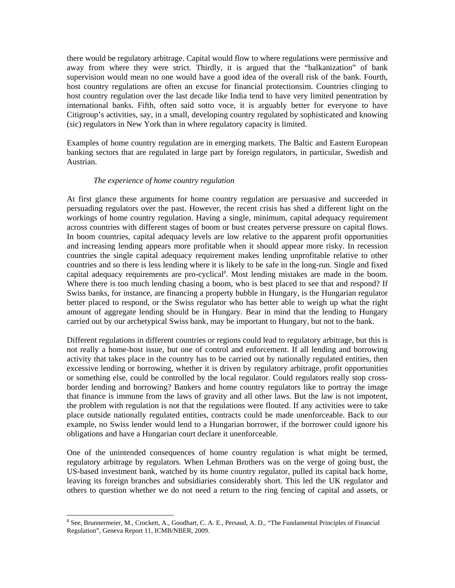there would be regulatory arbitrage. Capital would flow to where regulations were permissive and away from where they were strict. Thirdly, it is argued that the "balkanization" of bank supervision would mean no one would have a good idea of the overall risk of the bank. Fourth, host country regulations are often an excuse for financial protectionsim. Countries clinging to host country regulation over the last decade like India tend to have very limited penentration by international banks. Fifth, often said sotto voce, it is arguably better for everyone to have Citigroup's activities, say, in a small, developing country regulated by sophisticated and knowing (sic) regulators in New York than in where regulatory capacity is limited.

Examples of home country regulation are in emerging markets. The Baltic and Eastern European banking sectors that are regulated in large part by foreign regulators, in particular, Swedish and Austrian.

## *The experience of home country regulation*

At first glance these arguments for home country regulation are persuasive and succeeded in persuading regulators over the past. However, the recent crisis has shed a different light on the workings of home country regulation. Having a single, minimum, capital adequacy requirement across countries with different stages of boom or bust creates perverse pressure on capital flows. In boom countries, capital adequacy levels are low relative to the apparent profit opportunities and increasing lending appears more profitable when it should appear more risky. In recession countries the single capital adequacy requirement makes lending unprofitable relative to other countries and so there is less lending where it is likely to be safe in the long-run. Single and fixed capital adequacy requirements are pro-cyclical<sup>8</sup>. Most lending mistakes are made in the boom. Where there is too much lending chasing a boom, who is best placed to see that and respond? If Swiss banks, for instance, are financing a property bubble in Hungary, is the Hungarian regulator better placed to respond, or the Swiss regulator who has better able to weigh up what the right amount of aggregate lending should be in Hungary. Bear in mind that the lending to Hungary carried out by our archetypical Swiss bank, may be important to Hungary, but not to the bank.

Different regulations in different countries or regions could lead to regulatory arbitrage, but this is not really a home-host issue, but one of control and enforcement. If all lending and borrowing activity that takes place in the country has to be carried out by nationally regulated entities, then excessive lending or borrowing, whether it is driven by regulatory arbitrage, profit opportunities or something else, could be controlled by the local regulator. Could regulators really stop crossborder lending and borrowing? Bankers and home country regulators like to portray the image that finance is immune from the laws of gravity and all other laws. But the law is not impotent, the problem with regulation is not that the regulations were flouted. If any activities were to take place outside nationally regulated entities, contracts could be made unenforceable. Back to our example, no Swiss lender would lend to a Hungarian borrower, if the borrower could ignore his obligations and have a Hungarian court declare it unenforceable.

One of the unintended consequences of home country regulation is what might be termed, regulatory arbitrage by regulators. When Lehman Brothers was on the verge of going bust, the US-based investment bank, watched by its home country regulator, pulled its capital back home, leaving its foreign branches and subsidiaries considerably short. This led the UK regulator and others to question whether we do not need a return to the ring fencing of capital and assets, or

<sup>&</sup>lt;sup>8</sup> See, Brunnermeier, M., Crockett, A., Goodhart, C. A. E., Persaud, A. D., "The Fundamental Principles of Financial Regulation", Geneva Report 11, ICMB/NBER, 2009.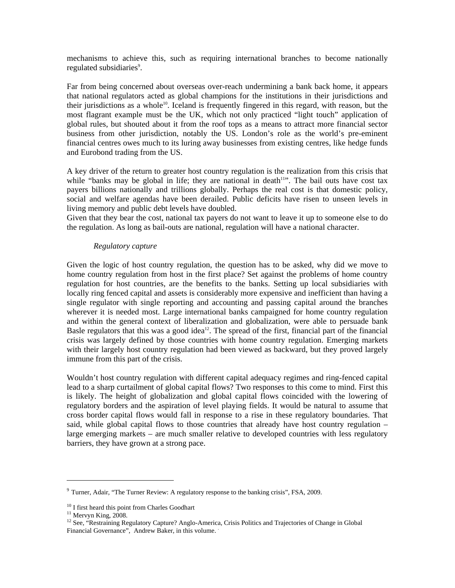mechanisms to achieve this, such as requiring international branches to become nationally regulated subsidiaries<sup>9</sup>.

Far from being concerned about overseas over-reach undermining a bank back home, it appears that national regulators acted as global champions for the institutions in their jurisdictions and their jurisdictions as a whole<sup>10</sup>. Iceland is frequently fingered in this regard, with reason, but the most flagrant example must be the UK, which not only practiced "light touch" application of global rules, but shouted about it from the roof tops as a means to attract more financial sector business from other jurisdiction, notably the US. London's role as the world's pre-eminent financial centres owes much to its luring away businesses from existing centres, like hedge funds and Eurobond trading from the US.

A key driver of the return to greater host country regulation is the realization from this crisis that while "banks may be global in life; they are national in death $11$ ". The bail outs have cost tax payers billions nationally and trillions globally. Perhaps the real cost is that domestic policy, social and welfare agendas have been derailed. Public deficits have risen to unseen levels in living memory and public debt levels have doubled.

Given that they bear the cost, national tax payers do not want to leave it up to someone else to do the regulation. As long as bail-outs are national, regulation will have a national character.

#### *Regulatory capture*

Given the logic of host country regulation, the question has to be asked, why did we move to home country regulation from host in the first place? Set against the problems of home country regulation for host countries, are the benefits to the banks. Setting up local subsidiaries with locally ring fenced capital and assets is considerably more expensive and inefficient than having a single regulator with single reporting and accounting and passing capital around the branches wherever it is needed most. Large international banks campaigned for home country regulation and within the general context of liberalization and globalization, were able to persuade bank Basle regulators that this was a good idea<sup>12</sup>. The spread of the first, financial part of the financial crisis was largely defined by those countries with home country regulation. Emerging markets with their largely host country regulation had been viewed as backward, but they proved largely immune from this part of the crisis.

Wouldn't host country regulation with different capital adequacy regimes and ring-fenced capital lead to a sharp curtailment of global capital flows? Two responses to this come to mind. First this is likely. The height of globalization and global capital flows coincided with the lowering of regulatory borders and the aspiration of level playing fields. It would be natural to assume that cross border capital flows would fall in response to a rise in these regulatory boundaries. That said, while global capital flows to those countries that already have host country regulation – large emerging markets – are much smaller relative to developed countries with less regulatory barriers, they have grown at a strong pace.

-

 $9$  Turner, Adair, "The Turner Review: A regulatory response to the banking crisis", FSA, 2009.

 $^{10}$  I first heard this point from Charles Goodhart

 $^{11}$  Mervyn King, 2008.

<sup>&</sup>lt;sup>12</sup> See, "Restraining Regulatory Capture? Anglo-America, Crisis Politics and Trajectories of Change in Global Financial Governance", Andrew Baker, in this volume.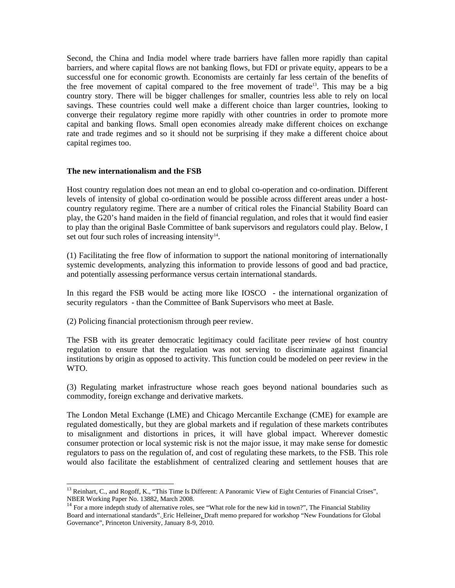Second, the China and India model where trade barriers have fallen more rapidly than capital barriers, and where capital flows are not banking flows, but FDI or private equity, appears to be a successful one for economic growth. Economists are certainly far less certain of the benefits of the free movement of capital compared to the free movement of trade<sup>13</sup>. This may be a big country story. There will be bigger challenges for smaller, countries less able to rely on local savings. These countries could well make a different choice than larger countries, looking to converge their regulatory regime more rapidly with other countries in order to promote more capital and banking flows. Small open economies already make different choices on exchange rate and trade regimes and so it should not be surprising if they make a different choice about capital regimes too.

## **The new internationalism and the FSB**

Host country regulation does not mean an end to global co-operation and co-ordination. Different levels of intensity of global co-ordination would be possible across different areas under a hostcountry regulatory regime. There are a number of critical roles the Financial Stability Board can play, the G20's hand maiden in the field of financial regulation, and roles that it would find easier to play than the original Basle Committee of bank supervisors and regulators could play. Below, I set out four such roles of increasing intensity $14$ .

(1) Facilitating the free flow of information to support the national monitoring of internationally systemic developments, analyzing this information to provide lessons of good and bad practice, and potentially assessing performance versus certain international standards.

In this regard the FSB would be acting more like IOSCO - the international organization of security regulators - than the Committee of Bank Supervisors who meet at Basle.

(2) Policing financial protectionism through peer review.

-

The FSB with its greater democratic legitimacy could facilitate peer review of host country regulation to ensure that the regulation was not serving to discriminate against financial institutions by origin as opposed to activity. This function could be modeled on peer review in the WTO.

(3) Regulating market infrastructure whose reach goes beyond national boundaries such as commodity, foreign exchange and derivative markets.

The London Metal Exchange (LME) and Chicago Mercantile Exchange (CME) for example are regulated domestically, but they are global markets and if regulation of these markets contributes to misalignment and distortions in prices, it will have global impact. Wherever domestic consumer protection or local systemic risk is not the major issue, it may make sense for domestic regulators to pass on the regulation of, and cost of regulating these markets, to the FSB. This role would also facilitate the establishment of centralized clearing and settlement houses that are

 $13$  Reinhart, C., and Rogoff, K., "This Time Is Different: A Panoramic View of Eight Centuries of Financial Crises", NBER Working Paper No. 13882, March 2008.

<sup>&</sup>lt;sup>14</sup> For a more indepth study of alternative roles, see "What role for the new kid in town?", The Financial Stability Board and international standards". Eric Helleiner, Draft memo prepared for workshop "New Foundations for Global Governance", Princeton University, January 8-9, 2010.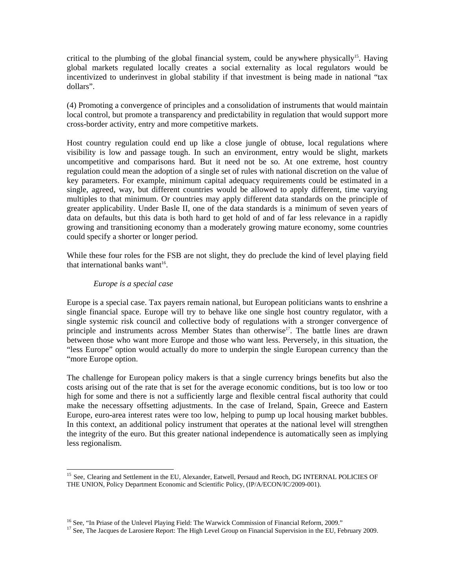critical to the plumbing of the global financial system, could be anywhere physically<sup>15</sup>. Having global markets regulated locally creates a social externality as local regulators would be incentivized to underinvest in global stability if that investment is being made in national "tax dollars".

(4) Promoting a convergence of principles and a consolidation of instruments that would maintain local control, but promote a transparency and predictability in regulation that would support more cross-border activity, entry and more competitive markets.

Host country regulation could end up like a close jungle of obtuse, local regulations where visibility is low and passage tough. In such an environment, entry would be slight, markets uncompetitive and comparisons hard. But it need not be so. At one extreme, host country regulation could mean the adoption of a single set of rules with national discretion on the value of key parameters. For example, minimum capital adequacy requirements could be estimated in a single, agreed, way, but different countries would be allowed to apply different, time varying multiples to that minimum. Or countries may apply different data standards on the principle of greater applicability. Under Basle II, one of the data standards is a minimum of seven years of data on defaults, but this data is both hard to get hold of and of far less relevance in a rapidly growing and transitioning economy than a moderately growing mature economy, some countries could specify a shorter or longer period.

While these four roles for the FSB are not slight, they do preclude the kind of level playing field that international banks want<sup>16</sup>.

## *Europe is a special case*

Europe is a special case. Tax payers remain national, but European politicians wants to enshrine a single financial space. Europe will try to behave like one single host country regulator, with a single systemic risk council and collective body of regulations with a stronger convergence of principle and instruments across Member States than otherwise<sup>17</sup>. The battle lines are drawn between those who want more Europe and those who want less. Perversely, in this situation, the "less Europe" option would actually do more to underpin the single European currency than the "more Europe option.

The challenge for European policy makers is that a single currency brings benefits but also the costs arising out of the rate that is set for the average economic conditions, but is too low or too high for some and there is not a sufficiently large and flexible central fiscal authority that could make the necessary offsetting adjustments. In the case of Ireland, Spain, Greece and Eastern Europe, euro-area interest rates were too low, helping to pump up local housing market bubbles. In this context, an additional policy instrument that operates at the national level will strengthen the integrity of the euro. But this greater national independence is automatically seen as implying less regionalism.

<sup>-</sup><sup>15</sup> See, Clearing and Settlement in the EU. Alexander, Eatwell, Persaud and Reoch, DG INTERNAL POLICIES OF THE UNION, Policy Department Economic and Scientific Policy, (IP/A/ECON/IC/2009-001).

<sup>&</sup>lt;sup>16</sup> See, "In Priase of the Unlevel Playing Field: The Warwick Commission of Financial Reform, 2009."<br><sup>17</sup> See, The Jacques de Larosiere Report: The High Level Group on Financial Supervision in the EU, February 2009.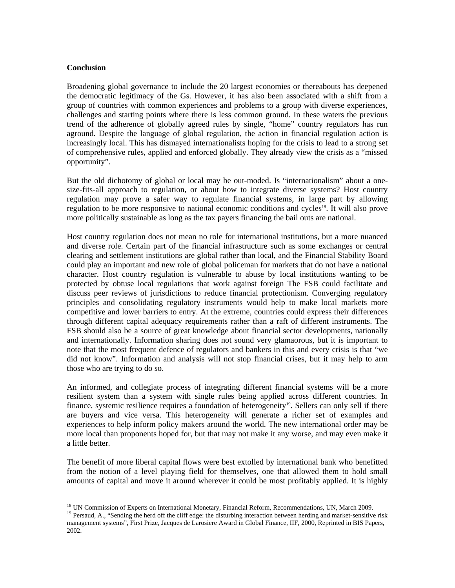## **Conclusion**

Broadening global governance to include the 20 largest economies or thereabouts has deepened the democratic legitimacy of the Gs. However, it has also been associated with a shift from a group of countries with common experiences and problems to a group with diverse experiences, challenges and starting points where there is less common ground. In these waters the previous trend of the adherence of globally agreed rules by single, "home" country regulators has run aground. Despite the language of global regulation, the action in financial regulation action is increasingly local. This has dismayed internationalists hoping for the crisis to lead to a strong set of comprehensive rules, applied and enforced globally. They already view the crisis as a "missed opportunity".

But the old dichotomy of global or local may be out-moded. Is "internationalism" about a onesize-fits-all approach to regulation, or about how to integrate diverse systems? Host country regulation may prove a safer way to regulate financial systems, in large part by allowing regulation to be more responsive to national economic conditions and cycles<sup>18</sup>. It will also prove more politically sustainable as long as the tax payers financing the bail outs are national.

Host country regulation does not mean no role for international institutions, but a more nuanced and diverse role. Certain part of the financial infrastructure such as some exchanges or central clearing and settlement institutions are global rather than local, and the Financial Stability Board could play an important and new role of global policeman for markets that do not have a national character. Host country regulation is vulnerable to abuse by local institutions wanting to be protected by obtuse local regulations that work against foreign The FSB could facilitate and discuss peer reviews of jurisdictions to reduce financial protectionism. Converging regulatory principles and consolidating regulatory instruments would help to make local markets more competitive and lower barriers to entry. At the extreme, countries could express their differences through different capital adequacy requirements rather than a raft of different instruments. The FSB should also be a source of great knowledge about financial sector developments, nationally and internationally. Information sharing does not sound very glamaorous, but it is important to note that the most frequent defence of regulators and bankers in this and every crisis is that "we did not know". Information and analysis will not stop financial crises, but it may help to arm those who are trying to do so.

An informed, and collegiate process of integrating different financial systems will be a more resilient system than a system with single rules being applied across different countries. In finance, systemic resilience requires a foundation of heterogeneity<sup>19</sup>. Sellers can only sell if there are buyers and vice versa. This heterogeneity will generate a richer set of examples and experiences to help inform policy makers around the world. The new international order may be more local than proponents hoped for, but that may not make it any worse, and may even make it a little better.

The benefit of more liberal capital flows were best extolled by international bank who benefitted from the notion of a level playing field for themselves, one that allowed them to hold small amounts of capital and move it around wherever it could be most profitably applied. It is highly

<sup>&</sup>lt;sup>18</sup> UN Commission of Experts on International Monetary, Financial Reform, Recommendations, UN, March 2009.

<sup>&</sup>lt;sup>19</sup> Persaud, A., "Sending the herd off the cliff edge: the disturbing interaction between herding and market-sensitive risk management systems", First Prize, Jacques de Larosiere Award in Global Finance, IIF, 2000, Reprinted in BIS Papers, 2002.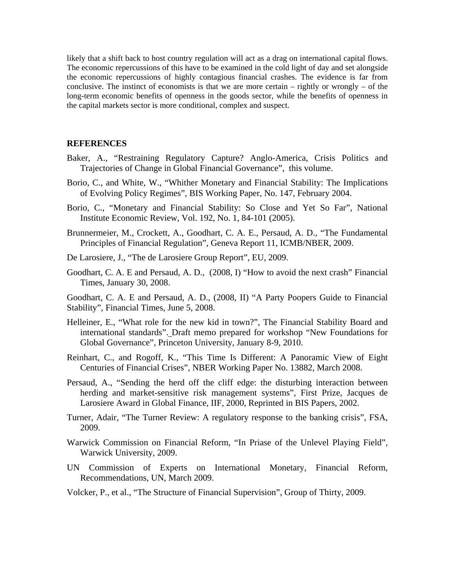likely that a shift back to host country regulation will act as a drag on international capital flows. The economic repercussions of this have to be examined in the cold light of day and set alongside the economic repercussions of highly contagious financial crashes. The evidence is far from conclusive. The instinct of economists is that we are more certain – rightly or wrongly – of the long-term economic benefits of openness in the goods sector, while the benefits of openness in the capital markets sector is more conditional, complex and suspect.

#### **REFERENCES**

- Baker, A., "Restraining Regulatory Capture? Anglo-America, Crisis Politics and Trajectories of Change in Global Financial Governance", this volume.
- Borio, C., and White, W., "Whither Monetary and Financial Stability: The Implications of Evolving Policy Regimes", BIS Working Paper, No. 147, February 2004.
- Borio, C., "Monetary and Financial Stability: So Close and Yet So Far", National Institute Economic Review, Vol. 192, No. 1, 84-101 (2005).
- Brunnermeier, M., Crockett, A., Goodhart, C. A. E., Persaud, A. D., "The Fundamental Principles of Financial Regulation", Geneva Report 11, ICMB/NBER, 2009.
- De Larosiere, J., "The de Larosiere Group Report", EU, 2009.
- Goodhart, C. A. E and Persaud, A. D., (2008, I) "How to avoid the next crash" Financial Times, January 30, 2008.
- Goodhart, C. A. E and Persaud, A. D., (2008, II) "A Party Poopers Guide to Financial Stability", Financial Times, June 5, 2008.
- Helleiner, E., "What role for the new kid in town?", The Financial Stability Board and international standards". Draft memo prepared for workshop "New Foundations for Global Governance", Princeton University, January 8-9, 2010.
- Reinhart, C., and Rogoff, K., "This Time Is Different: A Panoramic View of Eight Centuries of Financial Crises", NBER Working Paper No. 13882, March 2008.
- Persaud, A., "Sending the herd off the cliff edge: the disturbing interaction between herding and market-sensitive risk management systems", First Prize, Jacques de Larosiere Award in Global Finance, IIF, 2000, Reprinted in BIS Papers, 2002.
- Turner, Adair, "The Turner Review: A regulatory response to the banking crisis", FSA, 2009.
- Warwick Commission on Financial Reform, "In Priase of the Unlevel Playing Field", Warwick University, 2009.
- UN Commission of Experts on International Monetary, Financial Reform, Recommendations, UN, March 2009.
- Volcker, P., et al., "The Structure of Financial Supervision", Group of Thirty, 2009.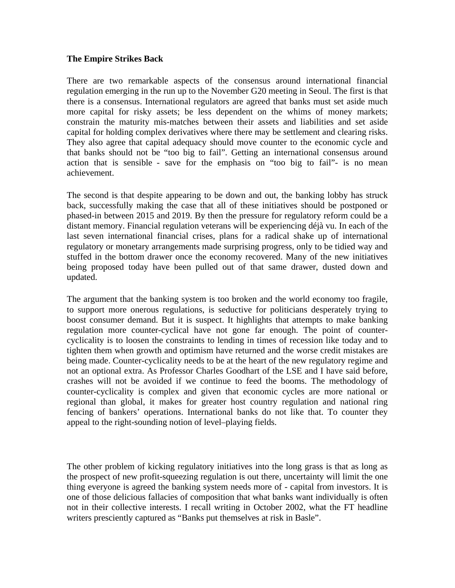# **The Empire Strikes Back**

There are two remarkable aspects of the consensus around international financial regulation emerging in the run up to the November G20 meeting in Seoul. The first is that there is a consensus. International regulators are agreed that banks must set aside much more capital for risky assets; be less dependent on the whims of money markets; constrain the maturity mis-matches between their assets and liabilities and set aside capital for holding complex derivatives where there may be settlement and clearing risks. They also agree that capital adequacy should move counter to the economic cycle and that banks should not be "too big to fail". Getting an international consensus around action that is sensible - save for the emphasis on "too big to fail"- is no mean achievement.

The second is that despite appearing to be down and out, the banking lobby has struck back, successfully making the case that all of these initiatives should be postponed or phased-in between 2015 and 2019. By then the pressure for regulatory reform could be a distant memory. Financial regulation veterans will be experiencing déjà vu. In each of the last seven international financial crises, plans for a radical shake up of international regulatory or monetary arrangements made surprising progress, only to be tidied way and stuffed in the bottom drawer once the economy recovered. Many of the new initiatives being proposed today have been pulled out of that same drawer, dusted down and updated.

The argument that the banking system is too broken and the world economy too fragile, to support more onerous regulations, is seductive for politicians desperately trying to boost consumer demand. But it is suspect. It highlights that attempts to make banking regulation more counter-cyclical have not gone far enough. The point of countercyclicality is to loosen the constraints to lending in times of recession like today and to tighten them when growth and optimism have returned and the worse credit mistakes are being made. Counter-cyclicality needs to be at the heart of the new regulatory regime and not an optional extra. As Professor Charles Goodhart of the LSE and I have said before, crashes will not be avoided if we continue to feed the booms. The methodology of counter-cyclicality is complex and given that economic cycles are more national or regional than global, it makes for greater host country regulation and national ring fencing of bankers' operations. International banks do not like that. To counter they appeal to the right-sounding notion of level–playing fields.

The other problem of kicking regulatory initiatives into the long grass is that as long as the prospect of new profit-squeezing regulation is out there, uncertainty will limit the one thing everyone is agreed the banking system needs more of - capital from investors. It is one of those delicious fallacies of composition that what banks want individually is often not in their collective interests. I recall writing in October 2002, what the FT headline writers presciently captured as "Banks put themselves at risk in Basle".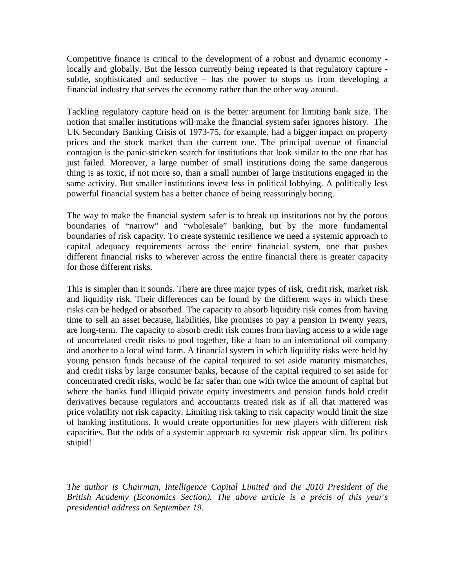Competitive finance is critical to the development of a robust and dynamic economy locally and globally. But the lesson currently being repeated is that regulatory capture subtle, sophisticated and seductive – has the power to stops us from developing a financial industry that serves the economy rather than the other way around.

Tackling regulatory capture head on is the better argument for limiting bank size. The notion that smaller institutions will make the financial system safer ignores history. The UK Secondary Banking Crisis of 1973-75, for example, had a bigger impact on property prices and the stock market than the current one. The principal avenue of financial contagion is the panic-stricken search for institutions that look similar to the one that has just failed. Moreover, a large number of small institutions doing the same dangerous thing is as toxic, if not more so, than a small number of large institutions engaged in the same activity. But smaller institutions invest less in political lobbying. A politically less powerful financial system has a better chance of being reassuringly boring.

The way to make the financial system safer is to break up institutions not by the porous boundaries of "narrow" and "wholesale" banking, but by the more fundamental boundaries of risk capacity. To create systemic resilience we need a systemic approach to capital adequacy requirements across the entire financial system, one that pushes different financial risks to wherever across the entire financial there is greater capacity for those different risks.

This is simpler than it sounds. There are three major types of risk, credit risk, market risk and liquidity risk. Their differences can be found by the different ways in which these risks can be hedged or absorbed. The capacity to absorb liquidity risk comes from having time to sell an asset because, liabilities, like promises to pay a pension in twenty years, are long-term. The capacity to absorb credit risk comes from having access to a wide rage of uncorrelated credit risks to pool together, like a loan to an international oil company and another to a local wind farm. A financial system in which liquidity risks were held by young pension funds because of the capital required to set aside maturity mismatches, and credit risks by large consumer banks, because of the capital required to set aside for concentrated credit risks, would be far safer than one with twice the amount of capital but where the banks fund illiquid private equity investments and pension funds hold credit derivatives because regulators and accountants treated risk as if all that mattered was price volatility not risk capacity. Limiting risk taking to risk capacity would limit the size of banking institutions. It would create opportunities for new players with different risk capacities. But the odds of a systemic approach to systemic risk appear slim. Its politics stupid!

*The author is Chairman, Intelligence Capital Limited and the 2010 President of the British Academy (Economics Section). The above article is a précis of this year's presidential address on September 19.*